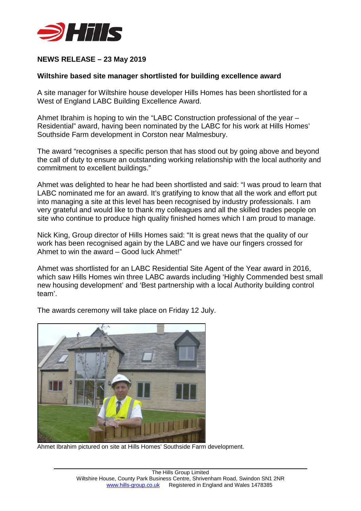

# **NEWS RELEASE – 23 May 2019**

## **Wiltshire based site manager shortlisted for building excellence award**

A site manager for Wiltshire house developer Hills Homes has been shortlisted for a West of England LABC Building Excellence Award.

Ahmet Ibrahim is hoping to win the "LABC Construction professional of the year – Residential" award, having been nominated by the LABC for his work at Hills Homes' Southside Farm development in Corston near Malmesbury.

The award "recognises a specific person that has stood out by going above and beyond the call of duty to ensure an outstanding working relationship with the local authority and commitment to excellent buildings."

Ahmet was delighted to hear he had been shortlisted and said: "I was proud to learn that LABC nominated me for an award. It's gratifying to know that all the work and effort put into managing a site at this level has been recognised by industry professionals. I am very grateful and would like to thank my colleagues and all the skilled trades people on site who continue to produce high quality finished homes which I am proud to manage.

Nick King, Group director of Hills Homes said: "It is great news that the quality of our work has been recognised again by the LABC and we have our fingers crossed for Ahmet to win the award – Good luck Ahmet!"

Ahmet was shortlisted for an LABC Residential Site Agent of the Year award in 2016, which saw Hills Homes win three LABC awards including 'Highly Commended best small new housing development' and 'Best partnership with a local Authority building control team'.



The awards ceremony will take place on Friday 12 July.

Ahmet Ibrahim pictured on site at Hills Homes' Southside Farm development.